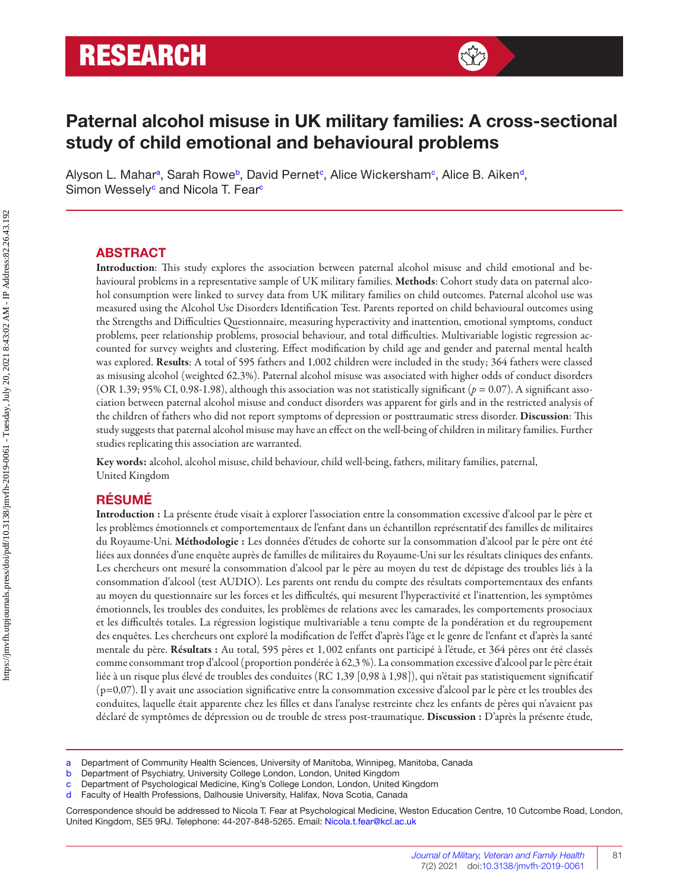# **RESEARCH**



## **Paternal alcohol misuse in UK military families: A cross-sectional study of child emotional and behavioural problems**

Alyson L. Mahar<sup>a</sup>, Sarah Rowe<sup>b</sup>, David Pernet<sup>c</sup>, Alice Wickersham<sup>c</sup>, Alice B. Aiken<sup>d</sup>, Simon Wessely<sup>c</sup> and Nicola T. Fear<sup>c</sup>

#### **ABSTRACT**

Introduction: This study explores the association between paternal alcohol misuse and child emotional and behavioural problems in a representative sample of UK military families. **Methods**: Cohort study data on paternal alcohol consumption were linked to survey data from UK military families on child outcomes. Paternal alcohol use was measured using the Alcohol Use Disorders Identification Test. Parents reported on child behavioural outcomes using the Strengths and Difficulties Questionnaire, measuring hyperactivity and inattention, emotional symptoms, conduct problems, peer relationship problems, prosocial behaviour, and total difficulties. Multivariable logistic regression accounted for survey weights and clustering. Effect modification by child age and gender and paternal mental health was explored. **Results**: A total of 595 fathers and 1,002 children were included in the study; 364 fathers were classed as misusing alcohol (weighted 62.3%). Paternal alcohol misuse was associated with higher odds of conduct disorders (OR 1.39; 95% CI, 0.98-1.98), although this association was not statistically significant ( $p = 0.07$ ). A significant association between paternal alcohol misuse and conduct disorders was apparent for girls and in the restricted analysis of the children of fathers who did not report symptoms of depression or posttraumatic stress disorder. Discussion: This study suggests that paternal alcohol misuse may have an effect on the well-being of children in military families. Further studies replicating this association are warranted.

**Key words:** alcohol, alcohol misuse, child behaviour, child well-being, fathers, military families, paternal, United Kingdom

## **RÉSUMÉ**

**Introduction :** La présente étude visait à explorer l'association entre la consommation excessive d'alcool par le père et les problèmes émotionnels et comportementaux de l'enfant dans un échantillon représentatif des familles de militaires du Royaume-Uni. **Méthodologie :** Les données d'études de cohorte sur la consommation d'alcool par le père ont été liées aux données d'une enquête auprès de familles de militaires du Royaume-Uni sur les résultats cliniques des enfants. Les chercheurs ont mesuré la consommation d'alcool par le père au moyen du test de dépistage des troubles liés à la consommation d'alcool (test AUDIO). Les parents ont rendu du compte des résultats comportementaux des enfants au moyen du questionnaire sur les forces et les difficultés, qui mesurent l'hyperactivité et l'inattention, les symptômes émotionnels, les troubles des conduites, les problèmes de relations avec les camarades, les comportements prosociaux et les difficultés totales. La régression logistique multivariable a tenu compte de la pondération et du regroupement des enquêtes. Les chercheurs ont exploré la modification de l'effet d'après l'âge et le genre de l'enfant et d'après la santé mentale du père. **Résultats :** Au total, 595 pères et 1, 002 enfants ont participé à l'étude, et 364 pères ont été classés comme consommant trop d'alcool (proportion pondérée à 62,3 %). La consommation excessive d'alcool par le père était liée à un risque plus élevé de troubles des conduites (RC 1,39 [0,98 à 1,98]), qui n'était pas statistiquement significatif (p=0,07). Il y avait une association significative entre la consommation excessive d'alcool par le père et les troubles des conduites, laquelle était apparente chez les filles et dans l'analyse restreinte chez les enfants de pères qui n'avaient pas déclaré de symptômes de dépression ou de trouble de stress post-traumatique. **Discussion :** D'après la présente étude,

a Department of Community Health Sciences, University of Manitoba, Winnipeg, Manitoba, Canada

b Department of Psychiatry, University College London, London, United Kingdom

c Department of Psychological Medicine, King's College London, London, United Kingdom

Faculty of Health Professions, Dalhousie University, Halifax, Nova Scotia, Canada

Correspondence should be addressed to Nicola T. Fear at Psychological Medicine, Weston Education Centre, 10 Cutcombe Road, London, United Kingdom, SE5 9RJ. Telephone: 44-207-848-5265. Email: [Nicola.t.fear@kcl.ac.uk](mailto:Nicola.t.fear@kcl.ac.uk)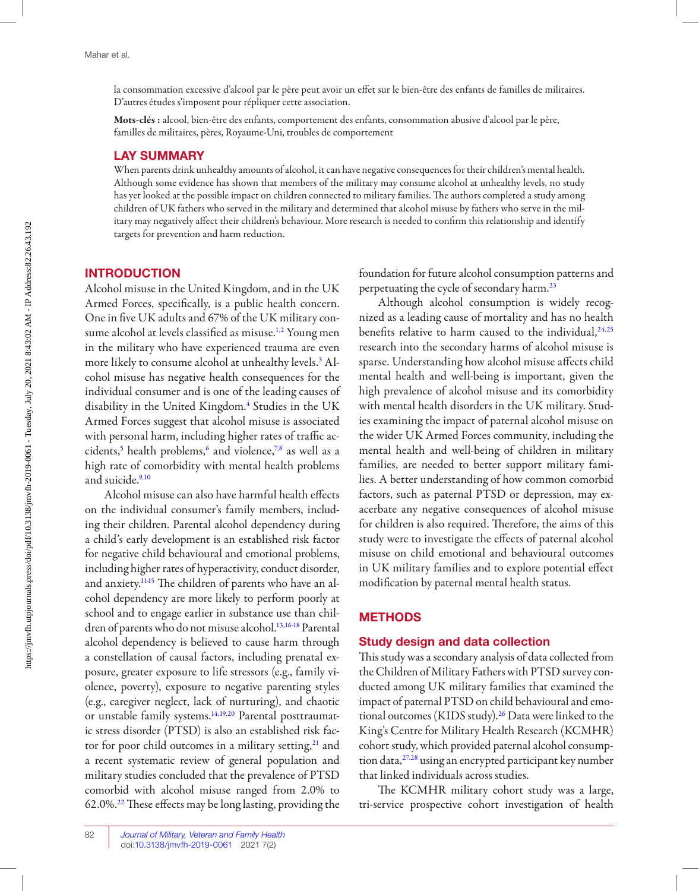<span id="page-1-0"></span>la consommation excessive d'alcool par le père peut avoir un effet sur le bien-être des enfants de familles de militaires. D'autres études s'imposent pour répliquer cette association.

**Mots-clés :** alcool, bien-être des enfants, comportement des enfants, consommation abusive d'alcool par le père, familles de militaires, pères, Royaume-Uni, troubles de comportement

#### **LAY SUMMARY**

 When parents drink unhealthy amounts of alcohol, it can have negative consequences for their children's mental health. Although some evidence has shown that members of the military may consume alcohol at unhealthy levels, no study has yet looked at the possible impact on children connected to military families. The authors completed a study among children of UK fathers who served in the military and determined that alcohol misuse by fathers who serve in the military may negatively affect their children's behaviour. More research is needed to confirm this relationship and identify targets for prevention and harm reduction.

#### **INTRODUCTION**

 Alcohol misuse in the United Kingdom, and in the UK Armed Forces, specifically, is a public health concern. One in five UK adults and 67% of the UK military con-sume alcohol at levels classified as misuse.<sup>1,[2](#page-8-0)</sup> Young men in the military who have experienced trauma are even more likely to consume alcohol at unhealthy levels.<sup>3</sup> Alcohol misuse has negative health consequences for the individual consumer and is one of the leading causes of disability in the United Kingdom.[4](#page-8-0) Studies in the UK Armed Forces suggest that alcohol misuse is associated with personal harm, including higher rates of traffic ac-cidents,<sup>5</sup> health problems,<sup>6</sup> and violence,<sup>[7,8](#page-8-0)</sup> as well as a high rate of comorbidity with mental health problems and suicide.<sup>9,[10](#page-8-0)</sup>

Alcohol misuse can also have harmful health effects on the individual consumer's family members, including their children. Parental alcohol dependency during a child's early development is an established risk factor for negative child behavioural and emotional problems, including higher rates of hyperactivity, conduct disorder, and anxiety.<sup>1145</sup> The children of parents who have an alcohol dependency are more likely to perform poorly at school and to engage earlier in substance use than chil-dren of parents who do not misuse alcohol.<sup>[13](#page-8-0),[16-18](#page-8-0)</sup> Parental alcohol dependency is believed to cause harm through a constellation of causal factors, including prenatal exposure, greater exposure to life stressors (e.g., family violence, poverty), exposure to negative parenting styles (e.g., caregiver neglect, lack of nurturing), and chaotic or unstable family systems.[14](#page-8-0),[19](#page-8-0),[20](#page-8-0) Parental posttraumatic stress disorder (PTSD) is also an established risk factor for poor child outcomes in a military setting, $21$  and a recent systematic review of general population and military studies concluded that the prevalence of PTSD comorbid with alcohol misuse ranged from 2.0% to 62.0%. $^{22}$  $^{22}$  $^{22}$  These effects may be long lasting, providing the foundation for future alcohol consumption patterns and perpetuating the cycle of secondary harm.[23](#page-9-0) 

 Although alcohol consumption is widely recognized as a leading cause of mortality and has no health benefits relative to harm caused to the individual,  $24,25$  $24,25$  $24,25$ research into the secondary harms of alcohol misuse is sparse. Understanding how alcohol misuse affects child mental health and well-being is important, given the high prevalence of alcohol misuse and its comorbidity with mental health disorders in the UK military. Studies examining the impact of paternal alcohol misuse on the wider UK Armed Forces community, including the mental health and well-being of children in military families, are needed to better support military families. A better understanding of how common comorbid factors, such as paternal PTSD or depression, may exacerbate any negative consequences of alcohol misuse for children is also required. Therefore, the aims of this study were to investigate the effects of paternal alcohol misuse on child emotional and behavioural outcomes in UK military families and to explore potential effect modification by paternal mental health status.

#### **METHODS**

#### **Study design and data collection**

 This study was a secondary analysis of data collected from the Children of Military Fathers with PTSD survey conducted among UK military families that examined the impact of paternal PTSD on child behavioural and emo-tional outcomes (KIDS study).<sup>[26](#page-9-0)</sup> Data were linked to the King's Centre for Military Health Research (KCMHR) cohort study, which provided paternal alcohol consumption data,[27](#page-9-0),[28](#page-9-0) using an encrypted participant key number that linked individuals across studies.

The KCMHR military cohort study was a large, tri-service prospective cohort investigation of health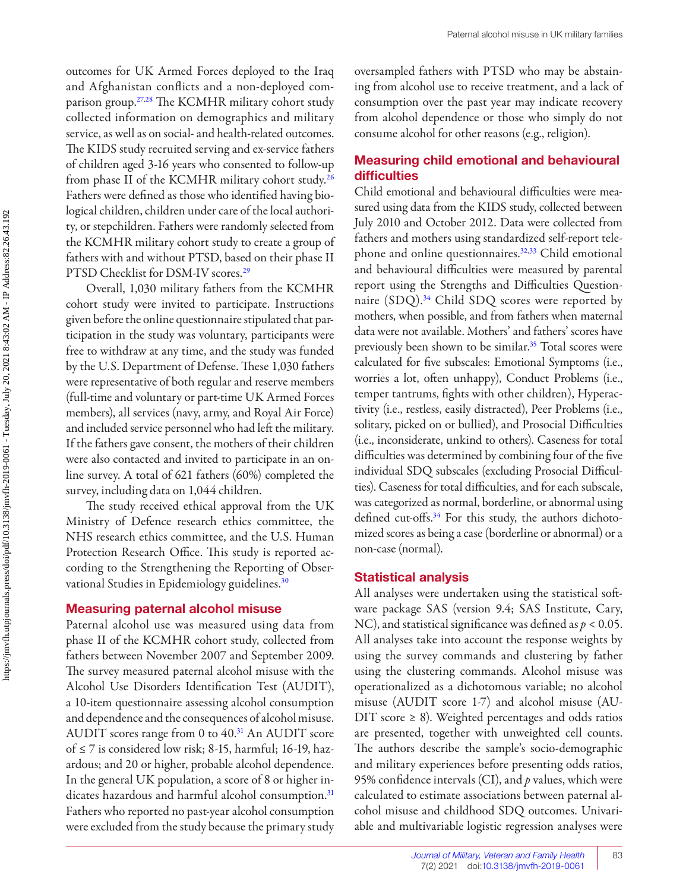<span id="page-2-0"></span>outcomes for UK Armed Forces deployed to the Iraq and Afghanistan conflicts and a non-deployed comparison group.<sup>27,28</sup> The KCMHR military cohort study collected information on demographics and military service, as well as on social- and health-related outcomes. The KIDS study recruited serving and ex-service fathers of children aged 3-16 years who consented to follow-up from phase II of the KCMHR military cohort study[.26](#page-9-0) Fathers were defined as those who identified having biological children, children under care of the local authority, or stepchildren. Fathers were randomly selected from the KCMHR military cohort study to create a group of fathers with and without PTSD, based on their phase II PTSD Checklist for DSM-IV scores.<sup>[29](#page-9-0)</sup>

Overall, 1,030 military fathers from the KCMHR cohort study were invited to participate. Instructions given before the online questionnaire stipulated that participation in the study was voluntary, participants were free to withdraw at any time, and the study was funded by the U.S. Department of Defense. These 1,030 fathers were representative of both regular and reserve members (full-time and voluntary or part-time UK Armed Forces members), all services (navy, army, and Royal Air Force) and included service personnel who had left the military. If the fathers gave consent, the mothers of their children were also contacted and invited to participate in an online survey. A total of 621 fathers (60%) completed the survey, including data on 1,044 children.

 The study received ethical approval from the UK Ministry of Defence research ethics committee, the NHS research ethics committee, and the U.S. Human Protection Research Office. This study is reported according to the Strengthening the Reporting of Observational Studies in Epidemiology guidelines.<sup>30</sup>

#### **Measuring paternal alcohol misuse**

Paternal alcohol use was measured using data from phase II of the KCMHR cohort study, collected from fathers between November 2007 and September 2009. The survey measured paternal alcohol misuse with the Alcohol Use Disorders Identification Test (AUDIT), a 10-item questionnaire assessing alcohol consumption and dependence and the consequences of alcohol misuse. AUDIT scores range from 0 to  $40.<sup>31</sup>$  An AUDIT score of ≤ 7 is considered low risk; 8-15, harmful; 16-19, hazardous; and 20 or higher, probable alcohol dependence. In the general UK population, a score of 8 or higher indicates hazardous and harmful alcohol consumption.<sup>31</sup> Fathers who reported no past-year alcohol consumption were excluded from the study because the primary study oversampled fathers with PTSD who may be abstaining from alcohol use to receive treatment, and a lack of consumption over the past year may indicate recovery from alcohol dependence or those who simply do not consume alcohol for other reasons (e.g., religion).

#### **Measuring child emotional and behavioural diffi culties**

Child emotional and behavioural difficulties were measured using data from the KIDS study, collected between July 2010 and October 2012. Data were collected from fathers and mothers using standardized self-report telephone and online questionnaires.<sup>32,33</sup> Child emotional and behavioural difficulties were measured by parental report using the Strengths and Difficulties Questionnaire  $(SDQ).<sup>34</sup>$  Child SDQ scores were reported by mothers, when possible, and from fathers when maternal data were not available. Mothers' and fathers' scores have previously been shown to be similar.<sup>[35](#page-9-0)</sup> Total scores were calculated for five subscales: Emotional Symptoms (i.e., worries a lot, often unhappy), Conduct Problems (i.e., temper tantrums, fights with other children), Hyperactivity (i.e., restless, easily distracted), Peer Problems (i.e., solitary, picked on or bullied), and Prosocial Difficulties (i.e., inconsiderate, unkind to others). Caseness for total difficulties was determined by combining four of the five individual SDQ subscales (excluding Prosocial Difficulties). Caseness for total difficulties, and for each subscale, was categorized as normal, borderline, or abnormal using defined cut-offs. $34$  For this study, the authors dichotomized scores as being a case (borderline or abnormal) or a non-case (normal).

#### **Statistical analysis**

All analyses were undertaken using the statistical soft ware package SAS (version 9.4; SAS Institute, Cary, NC), and statistical significance was defined as  $p < 0.05$ . All analyses take into account the response weights by using the survey commands and clustering by father using the clustering commands. Alcohol misuse was operationalized as a dichotomous variable; no alcohol misuse (AUDIT score 1-7) and alcohol misuse (AU-DIT score  $\geq$  8). Weighted percentages and odds ratios are presented, together with unweighted cell counts. The authors describe the sample's socio-demographic and military experiences before presenting odds ratios, 95% confidence intervals (CI), and *p* values, which were calculated to estimate associations between paternal alcohol misuse and childhood SDQ outcomes. Univariable and multivariable logistic regression analyses were

83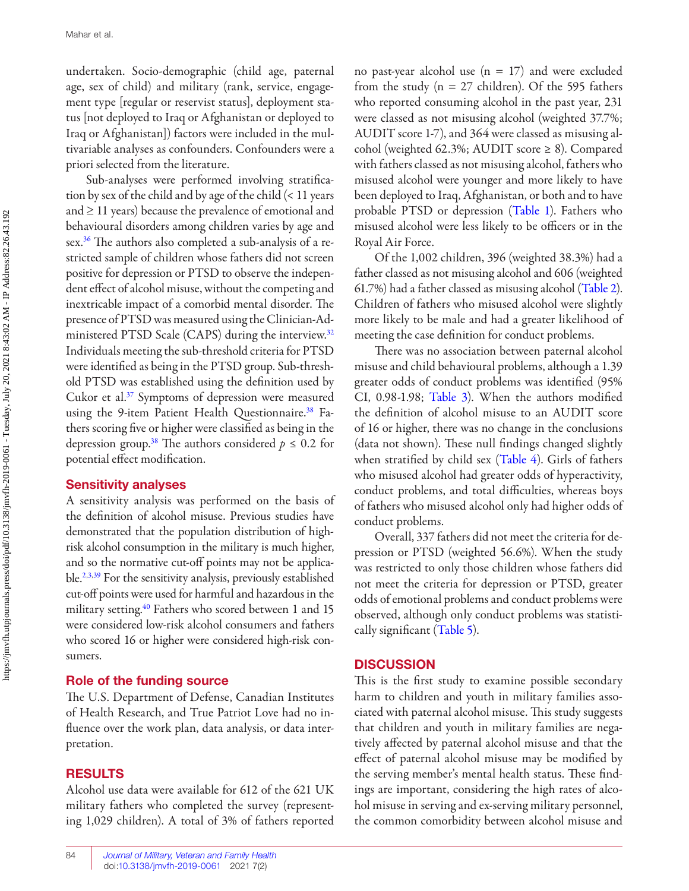<span id="page-3-0"></span>undertaken. Socio-demographic (child age, paternal age, sex of child) and military (rank, service, engagement type [regular or reservist status], deployment status [not deployed to Iraq or Afghanistan or deployed to Iraq or Afghanistan]) factors were included in the multivariable analyses as confounders. Confounders were a priori selected from the literature.

Sub-analyses were performed involving stratification by sex of the child and by age of the child (< 11 years and  $\geq$  11 years) because the prevalence of emotional and behavioural disorders among children varies by age and sex[.36](#page-9-0) The authors also completed a sub-analysis of a restricted sample of children whose fathers did not screen positive for depression or PTSD to observe the independent effect of alcohol misuse, without the competing and inextricable impact of a comorbid mental disorder. The presence of PTSD was measured using the Clinician-Administered PTSD Scale (CAPS) during the interview.<sup>32</sup> Individuals meeting the sub-threshold criteria for PTSD were identified as being in the PTSD group. Sub-threshold PTSD was established using the definition used by Cukor et al.<sup>37</sup> Symptoms of depression were measured using the 9-item Patient Health Questionnaire.<sup>38</sup> Fathers scoring five or higher were classified as being in the depression group.<sup>38</sup> The authors considered  $p \le 0.2$  for potential effect modification.

#### **Sensitivity analyses**

A sensitivity analysis was performed on the basis of the definition of alcohol misuse. Previous studies have demonstrated that the population distribution of highrisk alcohol consumption in the military is much higher, and so the normative cut-off points may not be applicable[.2,3](#page-8-0),[39](#page-9-0) For the sensitivity analysis, previously established cut-off points were used for harmful and hazardous in the military setting.<sup>[40](#page-9-0)</sup> Fathers who scored between 1 and 15 were considered low-risk alcohol consumers and fathers who scored 16 or higher were considered high-risk consumers.

#### **Role of the funding source**

 The U.S. Department of Defense, Canadian Institutes of Health Research, and True Patriot Love had no influence over the work plan, data analysis, or data interpretation.

#### **RESULTS**

Alcohol use data were available for 612 of the 621 UK military fathers who completed the survey (representing 1,029 children). A total of 3% of fathers reported no past-year alcohol use  $(n = 17)$  and were excluded from the study ( $n = 27$  children). Of the 595 fathers who reported consuming alcohol in the past year, 231 were classed as not misusing alcohol (weighted 37.7%; AUDIT score 1-7), and 364 were classed as misusing alcohol (weighted 62.3%; AUDIT score ≥ 8). Compared with fathers classed as not misusing alcohol, fathers who misused alcohol were younger and more likely to have been deployed to Iraq, Afghanistan, or both and to have probable PTSD or depression ([Table 1](#page-4-0)). Fathers who misused alcohol were less likely to be officers or in the Royal Air Force.

Of the 1,002 children, 396 (weighted 38.3%) had a father classed as not misusing alcohol and 606 (weighted 61.7%) had a father classed as misusing alcohol ([Table 2](#page-5-0)). Children of fathers who misused alcohol were slightly more likely to be male and had a greater likelihood of meeting the case definition for conduct problems.

 There was no association between paternal alcohol misuse and child behavioural problems, although a 1.39 greater odds of conduct problems was identified (95%) CI,  $0.98-1.98$ ; [Table 3](#page-6-0)). When the authors modified the definition of alcohol misuse to an AUDIT score of 16 or higher, there was no change in the conclusions (data not shown). These null findings changed slightly when stratified by child sex ([Table 4](#page-6-0)). Girls of fathers who misused alcohol had greater odds of hyperactivity, conduct problems, and total difficulties, whereas boys of fathers who misused alcohol only had higher odds of conduct problems.

Overall, 337 fathers did not meet the criteria for depression or PTSD (weighted 56.6%). When the study was restricted to only those children whose fathers did not meet the criteria for depression or PTSD, greater odds of emotional problems and conduct problems were observed, although only conduct problems was statistically significant ([Table 5\)](#page-6-0).

#### **DISCUSSION**

 This is the first study to examine possible secondary harm to children and youth in military families associated with paternal alcohol misuse. This study suggests that children and youth in military families are negatively aff ected by paternal alcohol misuse and that the effect of paternal alcohol misuse may be modified by the serving member's mental health status. These findings are important, considering the high rates of alcohol misuse in serving and ex-serving military personnel, the common comorbidity between alcohol misuse and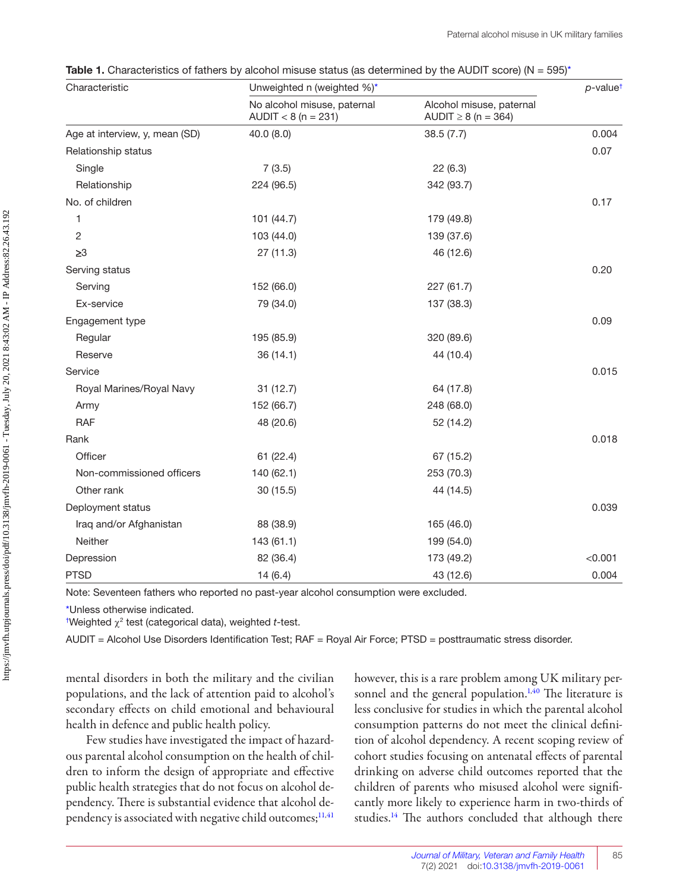<span id="page-4-0"></span>**Table 1.** Characteristics of fathers by alcohol misuse status (as determined by the AUDIT score) (N = 595)<sup>\*</sup>

| Characteristic                 | Unweighted n (weighted %)*                           |                                                      |         |  |
|--------------------------------|------------------------------------------------------|------------------------------------------------------|---------|--|
|                                | No alcohol misuse, paternal<br>$AUDIT < 8 (n = 231)$ | Alcohol misuse, paternal<br>AUDIT $\geq 8$ (n = 364) |         |  |
| Age at interview, y, mean (SD) | 40.0 (8.0)                                           | 38.5(7.7)                                            | 0.004   |  |
| Relationship status            |                                                      |                                                      | 0.07    |  |
| Single                         | 7(3.5)                                               | 22(6.3)                                              |         |  |
| Relationship                   | 224 (96.5)                                           | 342 (93.7)                                           |         |  |
| No. of children                |                                                      |                                                      | 0.17    |  |
| 1                              | 101 (44.7)                                           | 179 (49.8)                                           |         |  |
| 2                              | 103 (44.0)                                           | 139 (37.6)                                           |         |  |
| $\geq 3$                       | 27(11.3)                                             | 46 (12.6)                                            |         |  |
| Serving status                 |                                                      |                                                      | 0.20    |  |
| Serving                        | 152 (66.0)                                           | 227 (61.7)                                           |         |  |
| Ex-service                     | 79 (34.0)                                            | 137 (38.3)                                           |         |  |
| Engagement type                |                                                      |                                                      | 0.09    |  |
| Regular                        | 195 (85.9)                                           | 320 (89.6)                                           |         |  |
| Reserve                        | 36 (14.1)                                            | 44 (10.4)                                            |         |  |
| Service                        |                                                      |                                                      | 0.015   |  |
| Royal Marines/Royal Navy       | 31(12.7)                                             | 64 (17.8)                                            |         |  |
| Army                           | 152 (66.7)                                           | 248 (68.0)                                           |         |  |
| <b>RAF</b>                     | 48 (20.6)                                            | 52 (14.2)                                            |         |  |
| Rank                           |                                                      |                                                      | 0.018   |  |
| Officer                        | 61 (22.4)                                            | 67 (15.2)                                            |         |  |
| Non-commissioned officers      | 140 (62.1)                                           | 253 (70.3)                                           |         |  |
| Other rank                     | 30 (15.5)                                            | 44 (14.5)                                            |         |  |
| Deployment status              |                                                      |                                                      | 0.039   |  |
| Iraq and/or Afghanistan        | 88 (38.9)                                            | 165 (46.0)                                           |         |  |
| Neither                        | 143 (61.1)                                           | 199 (54.0)                                           |         |  |
| Depression                     | 82 (36.4)                                            | 173 (49.2)                                           | < 0.001 |  |
| <b>PTSD</b>                    | 14(6.4)                                              | 43 (12.6)                                            | 0.004   |  |

Note: Seventeen fathers who reported no past-year alcohol consumption were excluded.

\*Unless otherwise indicated.

<sup>†</sup>Weighted χ<sup>2</sup> test (categorical data), weighted *t*-test.

AUDIT = Alcohol Use Disorders Identification Test; RAF = Royal Air Force; PTSD = posttraumatic stress disorder.

mental disorders in both the military and the civilian populations, and the lack of attention paid to alcohol's secondary effects on child emotional and behavioural health in defence and public health policy.

Few studies have investigated the impact of hazardous parental alcohol consumption on the health of children to inform the design of appropriate and effective public health strategies that do not focus on alcohol dependency. There is substantial evidence that alcohol dependency is associated with negative child outcomes; $11,41$  $11,41$  however, this is a rare problem among UK military per-sonnel and the general population.<sup>1,[40](#page-9-0)</sup> The literature is less conclusive for studies in which the parental alcohol consumption patterns do not meet the clinical definition of alcohol dependency. A recent scoping review of cohort studies focusing on antenatal effects of parental drinking on adverse child outcomes reported that the children of parents who misused alcohol were signifi cantly more likely to experience harm in two-thirds of studies.<sup>14</sup> The authors concluded that although there

85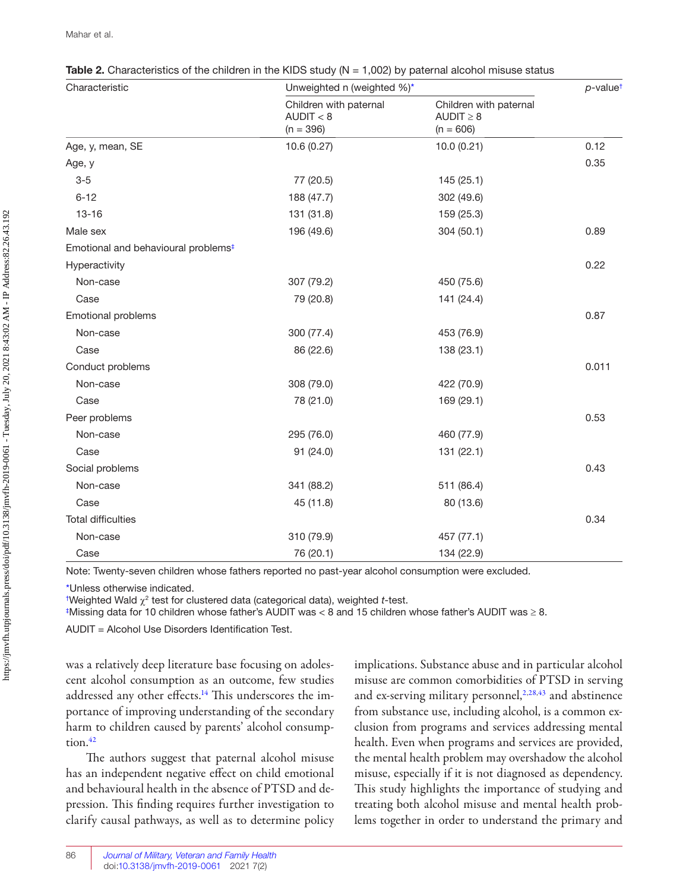| Characteristic                                  | Unweighted n (weighted %)*                         |                                                         |       |  |  |
|-------------------------------------------------|----------------------------------------------------|---------------------------------------------------------|-------|--|--|
|                                                 | Children with paternal<br>AUDIT < 8<br>$(n = 396)$ | Children with paternal<br>$AUDIT \geq 8$<br>$(n = 606)$ |       |  |  |
| Age, y, mean, SE                                | 10.6(0.27)                                         | 10.0(0.21)                                              | 0.12  |  |  |
| Age, y                                          |                                                    |                                                         | 0.35  |  |  |
| $3-5$                                           | 77 (20.5)                                          | 145(25.1)                                               |       |  |  |
| $6 - 12$                                        | 188 (47.7)                                         | 302 (49.6)                                              |       |  |  |
| $13 - 16$                                       | 131 (31.8)                                         | 159 (25.3)                                              |       |  |  |
| Male sex                                        | 196 (49.6)                                         | 304 (50.1)                                              | 0.89  |  |  |
| Emotional and behavioural problems <sup>#</sup> |                                                    |                                                         |       |  |  |
| Hyperactivity                                   |                                                    |                                                         | 0.22  |  |  |
| Non-case                                        | 307 (79.2)                                         | 450 (75.6)                                              |       |  |  |
| Case                                            | 79 (20.8)                                          | 141 (24.4)                                              |       |  |  |
| Emotional problems                              |                                                    |                                                         | 0.87  |  |  |
| Non-case                                        | 300 (77.4)                                         | 453 (76.9)                                              |       |  |  |
| Case                                            | 86 (22.6)                                          | 138 (23.1)                                              |       |  |  |
| Conduct problems                                |                                                    |                                                         | 0.011 |  |  |
| Non-case                                        | 308 (79.0)                                         | 422 (70.9)                                              |       |  |  |
| Case                                            | 78 (21.0)                                          | 169 (29.1)                                              |       |  |  |
| Peer problems                                   |                                                    |                                                         | 0.53  |  |  |
| Non-case                                        | 295 (76.0)                                         | 460 (77.9)                                              |       |  |  |
| Case                                            | 91 (24.0)                                          | 131 (22.1)                                              |       |  |  |
| Social problems                                 |                                                    |                                                         | 0.43  |  |  |
| Non-case                                        | 341 (88.2)                                         | 511 (86.4)                                              |       |  |  |
| Case                                            | 45 (11.8)                                          | 80 (13.6)                                               |       |  |  |
| <b>Total difficulties</b>                       |                                                    |                                                         | 0.34  |  |  |
| Non-case                                        | 310 (79.9)                                         | 457 (77.1)                                              |       |  |  |
| Case                                            | 76 (20.1)                                          | 134 (22.9)                                              |       |  |  |

<span id="page-5-0"></span>

| <b>Table 2.</b> Characteristics of the children in the KIDS study $(N = 1,002)$ by paternal alcohol misuse status |  |
|-------------------------------------------------------------------------------------------------------------------|--|
|-------------------------------------------------------------------------------------------------------------------|--|

Note: Twenty-seven children whose fathers reported no past-year alcohol consumption were excluded.

\*Unless otherwise indicated.

<sup>†</sup>Weighted Wald  $\chi^2$  test for clustered data (categorical data), weighted *t*-test.

 $^{\ddagger}$ Missing data for 10 children whose father's AUDIT was < 8 and 15 children whose father's AUDIT was  $\geq$  8.

 $AUDIT = Alcohol Use Disorders Identification Test.$ 

was a relatively deep literature base focusing on adolescent alcohol consumption as an outcome, few studies addressed any other effects.<sup>14</sup> This underscores the importance of improving understanding of the secondary harm to children caused by parents' alcohol consumption.<sup>42</sup>

 The authors suggest that paternal alcohol misuse has an independent negative effect on child emotional and behavioural health in the absence of PTSD and depression. This finding requires further investigation to clarify causal pathways, as well as to determine policy implications. Substance abuse and in particular alcohol misuse are common comorbidities of PTSD in serving and ex-serving military personnel,<sup>2[,2](#page-8-0)8,[43](#page-9-0)</sup> and abstinence from substance use, including alcohol, is a common exclusion from programs and services addressing mental health. Even when programs and services are provided, the mental health problem may overshadow the alcohol misuse, especially if it is not diagnosed as dependency. This study highlights the importance of studying and treating both alcohol misuse and mental health problems together in order to understand the primary and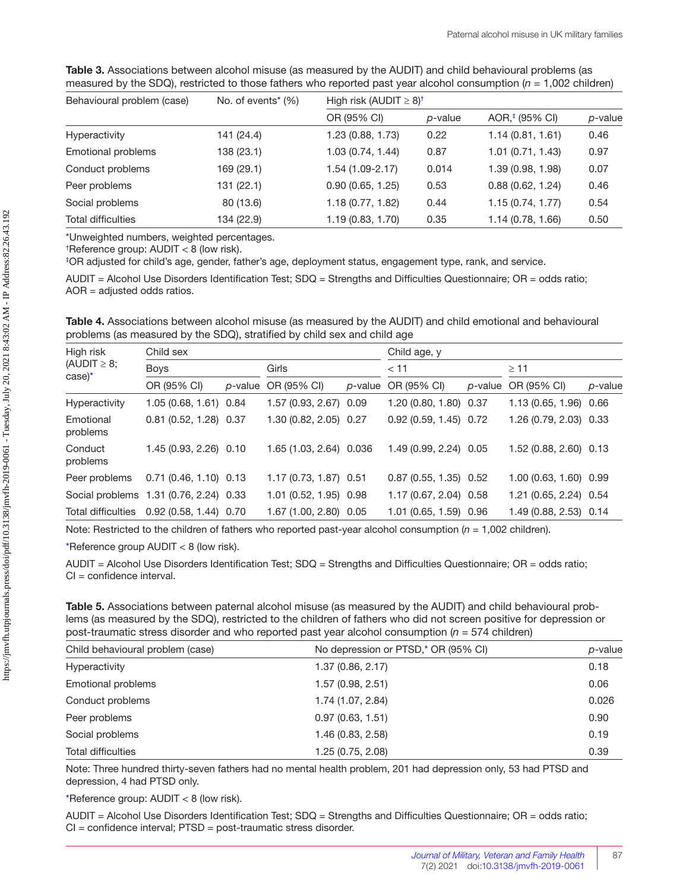<span id="page-6-0"></span>

| Table 3. Associations between alcohol misuse (as measured by the AUDIT) and child behavioural problems (as           |
|----------------------------------------------------------------------------------------------------------------------|
| measured by the SDQ), restricted to those fathers who reported past year alcohol consumption ( $n = 1,002$ children) |

| Behavioural problem (case) | No. of events <sup>*</sup> $(\%)$ | High risk (AUDIT $\geq$ 8) <sup>†</sup> |                 |                            |         |  |  |
|----------------------------|-----------------------------------|-----------------------------------------|-----------------|----------------------------|---------|--|--|
|                            |                                   | OR (95% CI)                             | <i>p</i> -value | AOR, <sup>#</sup> (95% CI) | p-value |  |  |
| Hyperactivity              | 141 (24.4)                        | 1.23 (0.88, 1.73)                       | 0.22            | 1.14(0.81, 1.61)           | 0.46    |  |  |
| Emotional problems         | 138 (23.1)                        | 1.03 (0.74, 1.44)                       | 0.87            | 1.01(0.71, 1.43)           | 0.97    |  |  |
| Conduct problems           | 169 (29.1)                        | $1.54(1.09-2.17)$                       | 0.014           | 1.39 (0.98, 1.98)          | 0.07    |  |  |
| Peer problems              | 131 (22.1)                        | 0.90(0.65, 1.25)                        | 0.53            | 0.88(0.62, 1.24)           | 0.46    |  |  |
| Social problems            | 80 (13.6)                         | 1.18 (0.77, 1.82)                       | 0.44            | 1.15(0.74, 1.77)           | 0.54    |  |  |
| <b>Total difficulties</b>  | 134 (22.9)                        | 1.19(0.83, 1.70)                        | 0.35            | 1.14 (0.78, 1.66)          | 0.50    |  |  |

\*Unweighted numbers, weighted percentages.

† Reference group: AUDIT < 8 (low risk).

‡ OR adjusted for child's age, gender, father's age, deployment status, engagement type, rank, and service.

AUDIT = Alcohol Use Disorders Identification Test; SDQ = Strengths and Difficulties Questionnaire; OR = odds ratio; AOR = adjusted odds ratios.

**Table 4.** Associations between alcohol misuse (as measured by the AUDIT) and child emotional and behavioural problems (as measured by the SDQ), stratified by child sex and child age

| High risk<br>(AUDIT $\geq$ 8;<br>$\case$ <sup>*</sup> | Child sex                                 |                 |                         |         | Child age, y            |         |                        |         |
|-------------------------------------------------------|-------------------------------------------|-----------------|-------------------------|---------|-------------------------|---------|------------------------|---------|
|                                                       | <b>Boys</b>                               |                 | Girls                   |         | $<$ 11                  |         | $\geq$ 11              |         |
|                                                       | OR (95% CI)                               | <i>p</i> -value | OR (95% CI)             | p-value | OR (95% CI)             | p-value | OR (95% CI)            | p-value |
| Hyperactivity                                         | 1.05 (0.68, 1.61) 0.84                    |                 | 1.57 (0.93, 2.67) 0.09  |         | 1.20 (0.80, 1.80) 0.37  |         | 1.13 (0.65, 1.96) 0.66 |         |
| Emotional<br>problems                                 | 0.81(0.52, 1.28)0.37                      |                 | 1.30 (0.82, 2.05) 0.27  |         | $0.92(0.59, 1.45)$ 0.72 |         | 1.26 (0.79, 2.03) 0.33 |         |
| Conduct<br>problems                                   | 1.45 (0.93, 2.26) 0.10                    |                 | 1.65 (1.03, 2.64) 0.036 |         | 1.49 (0.99, 2.24) 0.05  |         | 1.52 (0.88, 2.60) 0.13 |         |
| Peer problems                                         | $0.71(0.46, 1.10)$ 0.13                   |                 | 1.17 (0.73, 1.87) 0.51  |         | $0.87(0.55, 1.35)$ 0.52 |         | 1.00 (0.63, 1.60) 0.99 |         |
|                                                       | Social problems 1.31 (0.76, 2.24) 0.33    |                 | 1.01 (0.52, 1.95) 0.98  |         | 1.17 (0.67, 2.04) 0.58  |         | 1.21 (0.65, 2.24) 0.54 |         |
|                                                       | Total difficulties 0.92 (0.58, 1.44) 0.70 |                 | 1.67 (1.00, 2.80) 0.05  |         | 1.01 (0.65, 1.59) 0.96  |         | 1.49 (0.88, 2.53) 0.14 |         |

Note: Restricted to the children of fathers who reported past-year alcohol consumption ( $n = 1,002$  children).

\*Reference group AUDIT < 8 (low risk).

AUDIT = Alcohol Use Disorders Identification Test; SDQ = Strengths and Difficulties Questionnaire; OR = odds ratio;  $Cl =$  confidence interval.

| Table 5. Associations between paternal alcohol misuse (as measured by the AUDIT) and child behavioural prob-       |
|--------------------------------------------------------------------------------------------------------------------|
| lems (as measured by the SDQ), restricted to the children of fathers who did not screen positive for depression or |
| post-traumatic stress disorder and who reported past year alcohol consumption ( $n = 574$ children)                |

| Child behavioural problem (case) | No depression or PTSD,* OR (95% CI) | p-value |
|----------------------------------|-------------------------------------|---------|
| Hyperactivity                    | 1.37(0.86, 2.17)                    | 0.18    |
| <b>Emotional problems</b>        | 1.57(0.98, 2.51)                    | 0.06    |
| Conduct problems                 | 1.74 (1.07, 2.84)                   | 0.026   |
| Peer problems                    | 0.97(0.63, 1.51)                    | 0.90    |
| Social problems                  | 1.46 (0.83, 2.58)                   | 0.19    |
| <b>Total difficulties</b>        | 1.25 (0.75, 2.08)                   | 0.39    |

Note: Three hundred thirty-seven fathers had no mental health problem, 201 had depression only, 53 had PTSD and depression, 4 had PTSD only.

\*Reference group: AUDIT < 8 (low risk).

AUDIT = Alcohol Use Disorders Identification Test; SDQ = Strengths and Difficulties Questionnaire; OR = odds ratio; CI = confidence interval; PTSD = post-traumatic stress disorder.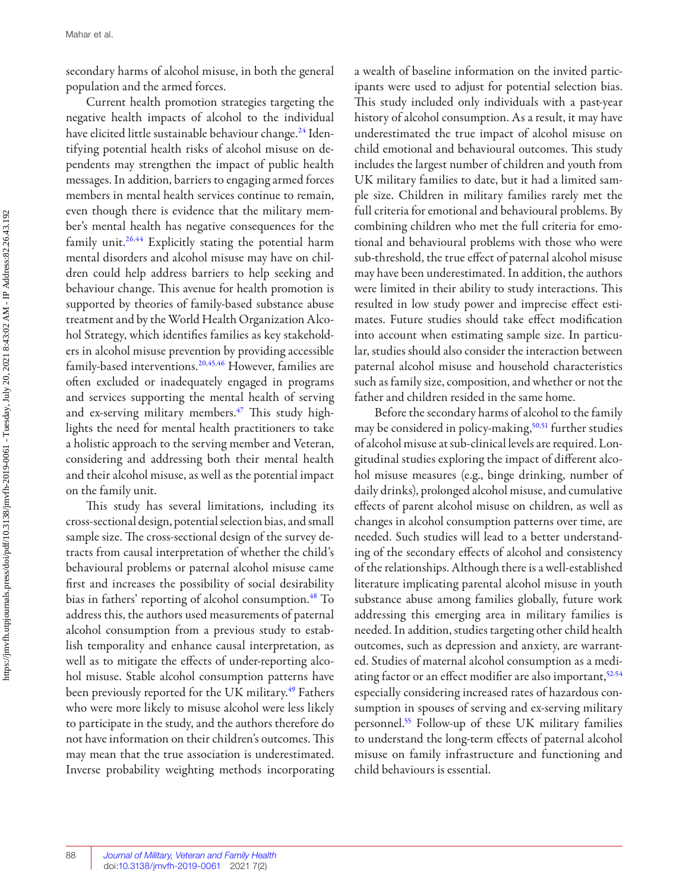<span id="page-7-0"></span>secondary harms of alcohol misuse, in both the general population and the armed forces.

Current health promotion strategies targeting the negative health impacts of alcohol to the individual have elicited little sustainable behaviour change.<sup>24</sup> Identifying potential health risks of alcohol misuse on dependents may strengthen the impact of public health messages. In addition, barriers to engaging armed forces members in mental health services continue to remain, even though there is evidence that the military member's mental health has negative consequences for the family unit.<sup>[26](#page-9-0),44</sup> Explicitly stating the potential harm mental disorders and alcohol misuse may have on children could help address barriers to help seeking and behaviour change. This avenue for health promotion is supported by theories of family-based substance abuse treatment and by the World Health Organization Alcohol Strategy, which identifies families as key stakeholders in alcohol misuse prevention by providing accessible family-based interventions[.20](#page-8-0),[45](#page-10-0),[46](#page-10-0) However, families are often excluded or inadequately engaged in programs and services supporting the mental health of serving and ex-serving military members.<sup>47</sup> This study highlights the need for mental health practitioners to take a holistic approach to the serving member and Veteran, considering and addressing both their mental health and their alcohol misuse, as well as the potential impact on the family unit.

 This study has several limitations, including its cross-sectional design, potential selection bias, and small sample size. The cross-sectional design of the survey detracts from causal interpretation of whether the child's behavioural problems or paternal alcohol misuse came first and increases the possibility of social desirability bias in fathers' reporting of alcohol consumption.<sup>48</sup> To address this, the authors used measurements of paternal alcohol consumption from a previous study to establish temporality and enhance causal interpretation, as well as to mitigate the effects of under-reporting alcohol misuse. Stable alcohol consumption patterns have been previously reported for the UK military.<sup>49</sup> Fathers who were more likely to misuse alcohol were less likely to participate in the study, and the authors therefore do not have information on their children's outcomes. This may mean that the true association is underestimated. Inverse probability weighting methods incorporating a wealth of baseline information on the invited participants were used to adjust for potential selection bias. This study included only individuals with a past-year history of alcohol consumption. As a result, it may have underestimated the true impact of alcohol misuse on child emotional and behavioural outcomes. This study includes the largest number of children and youth from UK military families to date, but it had a limited sample size. Children in military families rarely met the full criteria for emotional and behavioural problems. By combining children who met the full criteria for emotional and behavioural problems with those who were sub-threshold, the true effect of paternal alcohol misuse may have been underestimated. In addition, the authors were limited in their ability to study interactions. This resulted in low study power and imprecise effect estimates. Future studies should take effect modification into account when estimating sample size. In particular, studies should also consider the interaction between paternal alcohol misuse and household characteristics such as family size, composition, and whether or not the father and children resided in the same home.

Before the secondary harms of alcohol to the family may be considered in policy-making,<sup>50,51</sup> further studies of alcohol misuse at sub-clinical levels are required. Longitudinal studies exploring the impact of different alcohol misuse measures (e.g., binge drinking, number of daily drinks), prolonged alcohol misuse, and cumulative effects of parent alcohol misuse on children, as well as changes in alcohol consumption patterns over time, are needed. Such studies will lead to a better understanding of the secondary effects of alcohol and consistency of the relationships. Although there is a well-established literature implicating parental alcohol misuse in youth substance abuse among families globally, future work addressing this emerging area in military families is needed. In addition, studies targeting other child health outcomes, such as depression and anxiety, are warranted. Studies of maternal alcohol consumption as a mediating factor or an effect modifier are also important, $52-54$ especially considering increased rates of hazardous consumption in spouses of serving and ex-serving military personnel[.55](#page-10-0) Follow-up of these UK military families to understand the long-term effects of paternal alcohol misuse on family infrastructure and functioning and child behaviours is essential.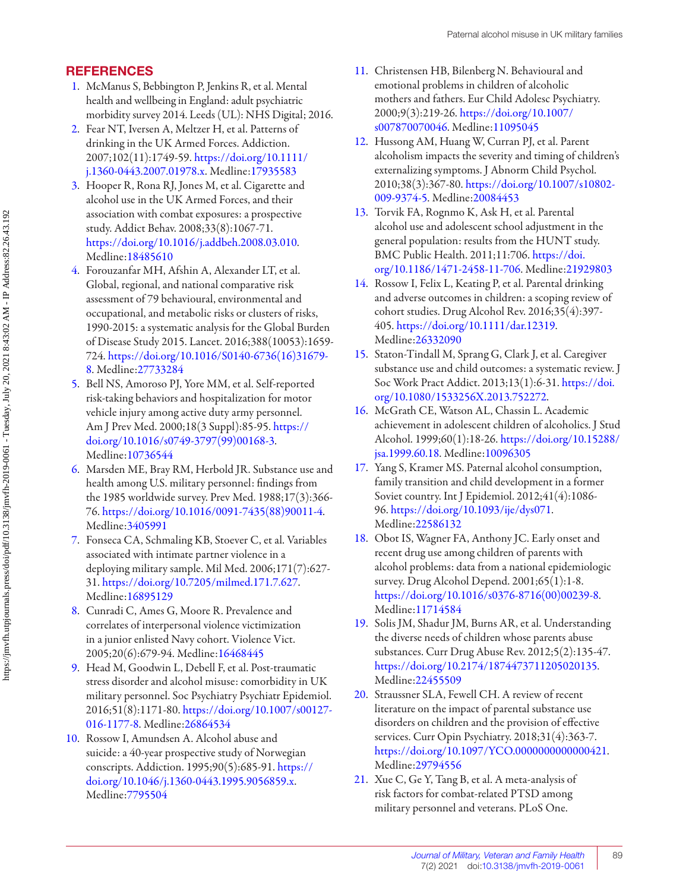## <span id="page-8-0"></span>**REFERENCES**

- [1](#page-1-0). McManus S, Bebbington P, Jenkins R, et al. Mental health and wellbeing in England: adult psychiatric morbidity survey 2014. Leeds (UL): NHS Digital; 2016.
- 2. Fear NT, Iversen A, Meltzer H, et al. Patterns of drinking in the UK Armed Forces. Addiction. 2007 ; 102 ( 11 ): 1749 - 59 . [https://doi.org/10.1111/](https://doi.org/10.1111/j.1360-0443.2007.01978.x) [j.1360-0443.2007.01978.x](https://doi.org/10.1111/j.1360-0443.2007.01978.x). Medline:[17935583](https://preview.ncbi.nlm.nih.gov/pubmed/?term=17935583)
- [3](#page-1-0). Hooper R, Rona RJ, Jones M, et al. Cigarette and alcohol use in the UK Armed Forces, and their association with combat exposures: a prospective study. Addict Behav. 2008;33(8):1067-71. [https://doi.org/10.1016/j.addbeh.2008.03.010.](https://doi.org/10.1016/j.addbeh.2008.03.010) Medline:[18485610](https://preview.ncbi.nlm.nih.gov/pubmed/?term=18485610)
- [4](#page-1-0). Forouzanfar MH, Afshin A, Alexander LT, et al. Global, regional, and national comparative risk assessment of 79 behavioural, environmental and occupational, and metabolic risks or clusters of risks, 1990-2015: a systematic analysis for the Global Burden of Disease Study 2015. Lancet. 2016;388(10053):1659-724 . [https://doi.org/10.1016/S0140-6736\(16\)31679](https://doi.org/10.1016/S0140-6736(16)31679-8) [8.](https://doi.org/10.1016/S0140-6736(16)31679-8) Medline:[27733284](https://preview.ncbi.nlm.nih.gov/pubmed/?term=27733284)
- [5.](#page-1-0) Bell NS, Amoroso PJ, Yore MM, et al. Self-reported risk-taking behaviors and hospitalization for motor vehicle injury among active duty army personnel. Am J Prev Med. 2000;18(3 Suppl):85-95. [https://](https://doi.org/10.1016/s0749-3797(99)00168-3) [doi.org/10.1016/s0749-3797\(99\)00168-3.](https://doi.org/10.1016/s0749-3797(99)00168-3) Medline:[10736544](https://preview.ncbi.nlm.nih.gov/pubmed/?term=10736544)
- [6](#page-1-0). Marsden ME, Bray RM, Herbold JR. Substance use and health among U.S. military personnel: findings from the 1985 worldwide survey. Prev Med. 1988;17(3):366-76 . [https://doi.org/10.1016/0091-7435\(88\)90011-4](https://doi.org/10.1016/0091-7435(88)90011-4). Medline:[3405991](https://preview.ncbi.nlm.nih.gov/pubmed/?term=3405991)
- [7](#page-1-0). Fonseca CA, Schmaling KB, Stoever C, et al. Variables associated with intimate partner violence in a deploying military sample. Mil Med. 2006;171(7):627-31 . <https://doi.org/10.7205/milmed.171.7.627>. Medline:[16895129](https://preview.ncbi.nlm.nih.gov/pubmed/?term=16895129)
- [8](#page-1-0). Cunradi C, Ames G, Moore R. Prevalence and correlates of interpersonal violence victimization in a junior enlisted Navy cohort. Violence Vict. 2005;20(6):679-94. Medline:[16468445](https://preview.ncbi.nlm.nih.gov/pubmed/?term=16468445)
- [9](#page-1-0). Head M, Goodwin L, Debell F, et al. Post-traumatic stress disorder and alcohol misuse: comorbidity in UK military personnel. Soc Psychiatry Psychiatr Epidemiol. 2016;51(8):1171-80. [https://doi.org/10.1007/s00127](https://doi.org/10.1007/s00127-016-1177-8)-[016-1177-8](https://doi.org/10.1007/s00127-016-1177-8). Medline:[26864534](https://preview.ncbi.nlm.nih.gov/pubmed/?term=26864534)
- [10](#page-1-0). Rossow I, Amundsen A. Alcohol abuse and suicide: a 40-year prospective study of Norwegian conscripts. Addiction. 1995;90(5):685-91. https:// [doi.org/10.1046/j.1360-0443.1995.9056859.x](https://doi.org/10.1046/j.1360-0443.1995.9056859.x). Medline:[7795504](https://preview.ncbi.nlm.nih.gov/pubmed/?term=7795504)
- [11](#page-1-0). Christensen HB, Bilenberg N. Behavioural and emotional problems in children of alcoholic mothers and fathers. Eur Child Adolesc Psychiatry. 2000;9(3):219-26. https://doi.org/10.1007/ [s007870070046.](https://doi.org/10.1007/s007870070046) Medline:[11095045](https://preview.ncbi.nlm.nih.gov/pubmed/?term=11095045)
- [12](#page-1-0). Hussong AM, Huang W, Curran PJ, et al. Parent alcoholism impacts the severity and timing of children's externalizing symptoms. J Abnorm Child Psychol. 2010;38(3):367-80. [https://doi.org/10.1007/s10802](https://doi.org/10.1007/s10802-009-9374-5)-[009-9374-5](https://doi.org/10.1007/s10802-009-9374-5). Medline:[20084453](https://preview.ncbi.nlm.nih.gov/pubmed/?term=20084453)
- [13](#page-1-0). Torvik FA, Rognmo K, Ask H, et al. Parental alcohol use and adolescent school adjustment in the general population: results from the HUNT study. BMC Public Health. 2011;11:706. https://doi. [org/10.1186/1471-2458-11-706.](https://doi.org/10.1186/1471-2458-11-706) Medline:[21929803](https://preview.ncbi.nlm.nih.gov/pubmed/?term=21929803)
- [14](#page-1-0). Rossow I, Felix L, Keating P, et al. Parental drinking and adverse outcomes in children: a scoping review of cohort studies. Drug Alcohol Rev. 2016;35(4):397-405 . <https://doi.org/10.1111/dar.12319>. Medline:[26332090](https://preview.ncbi.nlm.nih.gov/pubmed/?term=26332090)
- [15](#page-1-0). Staton-Tindall M, Sprang G, Clark J, et al. Caregiver substance use and child outcomes: a systematic review. J Soc Work Pract Addict. 2013;13(1):6-31. https://doi. [org/10.1080/1533256X.2013.752272](https://doi.org/10.1080/1533256X.2013.752272).
- [16](#page-1-0). McGrath CE, Watson AL, Chassin L. Academic achievement in adolescent children of alcoholics. J Stud Alcohol. 1999;60(1):18-26. [https://doi.org/10.15288/](https://doi.org/10.15288/jsa.1999.60.18) [jsa.1999.60.18](https://doi.org/10.15288/jsa.1999.60.18). Medline:[10096305](https://preview.ncbi.nlm.nih.gov/pubmed/?term=10096305)
- [17](#page-1-0). Yang S, Kramer MS. Paternal alcohol consumption, family transition and child development in a former Soviet country. Int J Epidemiol.  $2012;41(4):1086$ 96 .<https://doi.org/10.1093/ije/dys071>. Medline:[22586132](https://preview.ncbi.nlm.nih.gov/pubmed/?term=22586132)
- 18. Obot IS, Wagner FA, Anthony JC. Early onset and recent drug use among children of parents with alcohol problems: data from a national epidemiologic survey. Drug Alcohol Depend. 2001;65(1):1-8.  [https://doi.org/10.1016/s0376-8716\(00\)00239-8](https://doi.org/10.1016/s0376-8716(00)00239-8). Medline:[11714584](https://preview.ncbi.nlm.nih.gov/pubmed/?term=11714584)
- [19](#page-1-0). Solis JM, Shadur JM, Burns AR, et al. Understanding the diverse needs of children whose parents abuse substances. Curr Drug Abuse Rev. 2012;5(2):135-47. <https://doi.org/10.2174/1874473711205020135>. Medline:[22455509](https://preview.ncbi.nlm.nih.gov/pubmed/?term=22455509)
- [20](#page-1-0). Straussner SLA, Fewell CH. A review of recent literature on the impact of parental substance use disorders on children and the provision of effective services. Curr Opin Psychiatry. 2018;31(4):363-7. <https://doi.org/10.1097/YCO.0000000000000421>. Medline:[29794556](https://preview.ncbi.nlm.nih.gov/pubmed/?term=29794556)
- [21](#page-1-0). Xue C, Ge Y, Tang B, et al. A meta-analysis of risk factors for combat-related PTSD among military personnel and veterans. PLoS One.

89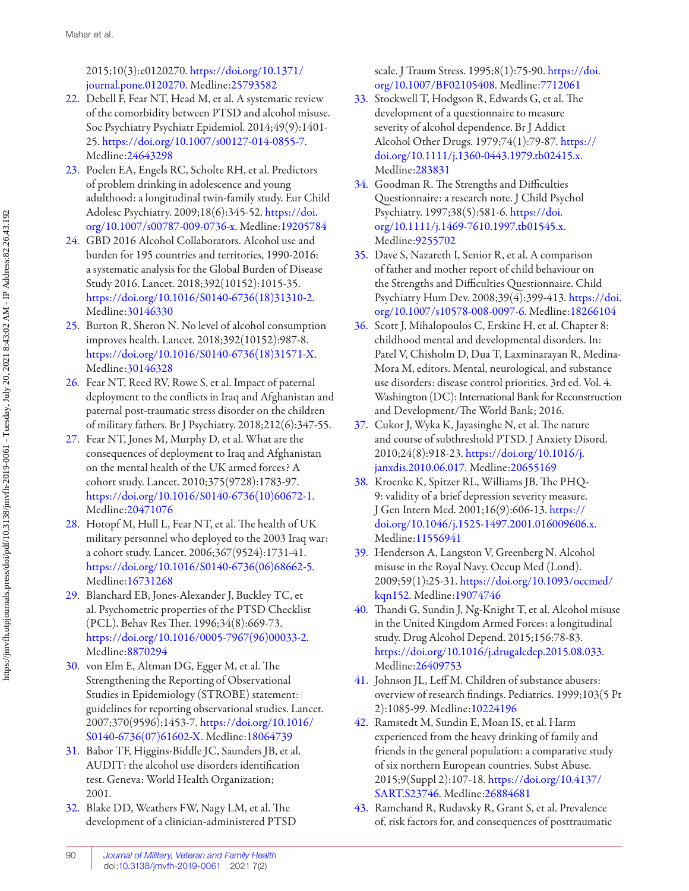<span id="page-9-0"></span>[journal.pone.0120270](https://doi.org/10.1371/journal.pone.0120270). Medline:[25793582](https://preview.ncbi.nlm.nih.gov/pubmed/?term=25793582) [org/10.1007/BF02105408](https://doi.org/10.1007/BF02105408). Medline:[7712061](https://preview.ncbi.nlm.nih.gov/pubmed/?term=7712061)

- 22. Debell F, Fear NT, Head M, et al. A systematic review [33](#page-2-0). Stockwell T, Hodgson R, Edwards G, et al. The of the comorbidity between PTSD and alcohol misuse . development of a questionnaire to measure Soc Psychiatry Psychiatr Epidemiol. 2014;49(9):1401- severity of alcohol dependence. Br J Addict 25. <https://doi.org/10.1007/s00127-014-0855-7>. Alcohol Other Drugs. 1979;74(1):79-87. https:// Medline:[24643298](https://preview.ncbi.nlm.nih.gov/pubmed/?term=24643298) [doi.org/10.1111/j.1360-0443.1979.tb02415.x](https://doi.org/10.1111/j.1360-0443.1979.tb02415.x).
- [23](#page-1-0). Poelen EA, Engels RC, Scholte RH, et al. Predictors Medline:[283831](https://preview.ncbi.nlm.nih.gov/pubmed/?term=283831) of problem drinking in adolescence and young [34](#page-2-0). Goodman R. The Strengths and Difficulties adulthood: a longitudinal twin-family study. Eur Child Questionnaire: a research note . J Child Psychol Adolesc Psychiatry. 2009;18(6):345-52. [https://doi.](https://doi.org/10.1007/s00787-009-0736-x) Psychiatry. 1997;38(5):581-6. [https://doi.](https://doi.org/10.1111/j.1469-7610.1997.tb01545.x) [org/10.1007/s00787-009-0736-x](https://doi.org/10.1007/s00787-009-0736-x). Medline:[19205784](https://preview.ncbi.nlm.nih.gov/pubmed/?term=19205784) [org/10.1111/j.1469-7610.1997.tb01545.x](https://doi.org/10.1111/j.1469-7610.1997.tb01545.x).
- [24](#page-1-0). GBD 2016 Alcohol Collaborators. Alcohol use and Medline:[9255702](https://preview.ncbi.nlm.nih.gov/pubmed/?term=9255702) burden for 195 countries and territories, 1990-2016: [35](#page-2-0). Dave S, Nazareth I, Senior R, et al. A comparison a systematic analysis for the Global Burden of Disease of father and mother report of child behaviour on
- 25. Burton R, Sheron N. No level of alcohol consumption [36](#page-3-0). Scott J, Mihalopoulos C, Erskine H, et al. Chapter 8:
- [26.](#page-1-0) Fear NT , Reed RV , Rowe S , et al. Impact of paternal use disorders: disease control priorities. 3rd ed. Vol. 4 . paternal post-traumatic stress disorder on the children and Development/The World Bank; 2016 . of military fathers. Br J Psychiatry. 2018;212(6):347-55. [37](#page-3-0). Cukor J, Wyka K, Jayasinghe N, et al. The nature
- [27](#page-1-0). Fear NT , Jones M , Murphy D , et al. What are the and course of subthreshold PTSD. J Anxiety Disord. consequences of deployment to Iraq and Afghanistan 2010;24(8):918-23. https://doi.org/10.1016/j. on the mental health of the UK armed forces? A [janxdis.2010.06.017](https://doi.org/10.1016/j.janxdis.2010.06.017). Medline:[20655169](https://preview.ncbi.nlm.nih.gov/pubmed/?term=20655169) cohort study. Lancet. 2010;375(9728):1783-97. [38](#page-3-0). Kroenke K, Spitzer RL, Williams JB. The PHQ[https://doi.org/10.1016/S0140-6736\(10\)60672-1](https://doi.org/10.1016/S0140-6736(10)60672-1). 9: validity of a brief depression severity measure. Medline:[20471076](https://preview.ncbi.nlm.nih.gov/pubmed/?term=20471076) J Gen Intern Med. 2001;16(9):606-13. https://
- [28](#page-1-0). Hotopf M, Hull L, Fear NT, et al. The health of UK [doi.org/10.1046/j.1525-1497.2001.016009606.x](https://doi.org/10.1046/j.1525-1497.2001.016009606.x). military personnel who deployed to the 2003 Iraq war: Medline:[11556941](https://preview.ncbi.nlm.nih.gov/pubmed/?term=11556941) a cohort study. Lancet. 2006;367(9524):1731-41. [39](#page-3-0). Henderson A, Langston V, Greenberg N. Alcohol  [https://doi.org/10.1016/S0140-6736\(06\)68662-5](https://doi.org/10.1016/S0140-6736(06)68662-5). misuse in the Royal Navy. Occup Med (Lond).
- [29](#page-2-0). Blanchard EB, Jones-Alexander J, Buckley TC, et [kqn152](https://doi.org/10.1093/occmed/kqn152). Medline:19074746 https://doi.org/10.1016/0005-7967(96)00033-2. study. Drug Alcohol Depend. 2015;156:78-83.
- [30](#page-2-0). von Elm E, Altman DG, Egger M, et al. The Medline:[26409753](https://preview.ncbi.nlm.nih.gov/pubmed/?term=26409753) guidelines for reporting observational studies. Lancet. 2):1085-99. Medline:10224196 2007;370(9596):1453-7. [https://doi.org/10.1016/](https://doi.org/10.1016/S0140-6736(07)61602-X) [42](#page-5-0). Ramstedt M, Sundin E, Moan IS, et al. Harm
- 2001. [SART.S23746](https://doi.org/10.4137/SART.S23746). Medline:[26884681](https://preview.ncbi.nlm.nih.gov/pubmed/?term=26884681)
- 

2015;10(3):e0120270.[https://doi.org/10.1371/](https://doi.org/10.1371/journal.pone.0120270) scale. J Traum Stress. 1995;8(1):75-90.https://doi.

- 
- 
- Study 2016. Lancet. 2018;392(10152):1015-35. the Strengths and Difficulties Questionnaire. Child [https://doi.](https://doi.org/10.1007/s10578-008-0097-6)org/10.1016/S0140-6736(18)31310-2. Psychiatry Hum Dev. 2008;39(4):399-413. https://doi. Medline:[30146330](https://preview.ncbi.nlm.nih.gov/pubmed/?term=30146330) [org/10.1007/s10578-008-0097-6](https://doi.org/10.1007/s10578-008-0097-6). Medline:[18266104](https://preview.ncbi.nlm.nih.gov/pubmed/?term=18266104)
- improves health. Lancet. 2018;392(10152):987-8. childhood mental and developmental disorders. In: https://doi.org/10.1016/S0140-6736(18)31571-X. Patel V, Chisholm D, Dua T, Laxminarayan R, Medina- Medline:[30146328](https://preview.ncbi.nlm.nih.gov/pubmed/?term=30146328) Mora M, editors. Mental, neurological, and substance deployment to the conflicts in Iraq and Afghanistan and Washington (DC) : International Bank for Reconstruction
	-
	-
- Medline:[16731268](https://preview.ncbi.nlm.nih.gov/pubmed/?term=16731268) 2009;59(1):25-31. https://doi.org/10.1093/occmed/
- al. Psychometric properties of the PTSD Checklist [40](#page-3-0). Thandi G, Sundin J, Ng-Knight T, et al. Alcohol misuse (PCL). Behav Res Ther. 1996;34(8):669-73. in the United Kingdom Armed Forces: a longitudinal Medline:[8870294](https://preview.ncbi.nlm.nih.gov/pubmed/?term=8870294) [https://doi.org/10.1016/j.drugalcdep.2015.08.033.](https://doi.org/10.1016/j.drugalcdep.2015.08.033)
- Strengthening the Reporting of Observational [41](#page-4-0). Johnson JL, Leff M. Children of substance abusers: Studies in Epidemiology (STROBE) statement: overview of research findings. Pediatrics. 1999;103(5 Pt
- [S0140-6736\(07\)61602-X](https://doi.org/10.1016/S0140-6736(07)61602-X). Medline:[18064739](https://preview.ncbi.nlm.nih.gov/pubmed/?term=18064739) experienced from the heavy drinking of family and [31](#page-2-0). Babor TF , Higgins-Biddle JC , Saunders JB , et al . friends in the general population: a comparative study AUDIT: the alcohol use disorders identification of six northern European countries. Subst Abuse. test. Geneva: World Health Organization; 2015;9(Suppl 2):107-18. https://doi.org/10.4137/
- [32](#page-2-0). Blake DD, Weathers FW, Nagy LM, et al. The [43](#page-5-0). Ramchand R, Rudavsky R, Grant S, et al. Prevalence development of a clinician-administered PTSD of, risk factors for, and consequences of posttraumatic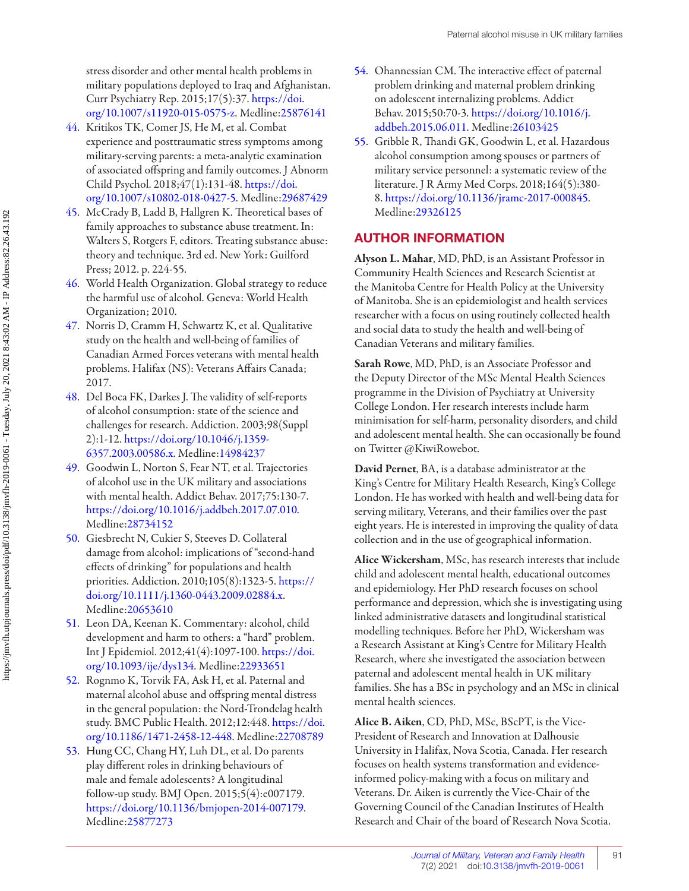<span id="page-10-0"></span>stress disorder and other mental health problems in military populations deployed to Iraq and Afghanistan. Curr Psychiatry Rep. 2015;17(5):37. https://doi. [org/10.1007/s11920-015-0575-z](https://doi.org/10.1007/s11920-015-0575-z). Medline:[25876141](https://preview.ncbi.nlm.nih.gov/pubmed/?term=25876141)

- [44](#page-7-0). Kritikos TK, Comer JS, He M, et al. Combat experience and posttraumatic stress symptoms among military-serving parents: a meta-analytic examination of associated offspring and family outcomes. J Abnorm Child Psychol. 2018;47(1):131-48. [https://doi.](https://doi.org/10.1007/s10802-018-0427-5) [org/10.1007/s10802-018-0427-5](https://doi.org/10.1007/s10802-018-0427-5). Medline:[29687429](https://preview.ncbi.nlm.nih.gov/pubmed/?term=29687429)
- 45. McCrady B, Ladd B, Hallgren K. Theoretical bases of family approaches to substance abuse treatment. In: Walters S, Rotgers F, editors. Treating substance abuse: theory and technique . 3rd ed. New York: Guilford Press; 2012. p. 224-55.
- [46.](#page-7-0) World Health Organization. Global strategy to reduce the harmful use of alcohol. Geneva: World Health Organization; 2010.
- [47](#page-7-0). Norris D, Cramm H, Schwartz K, et al. Qualitative study on the health and well-being of families of Canadian Armed Forces veterans with mental health problems. Halifax (NS): Veterans Affairs Canada; 2017.
- [48](#page-7-0). Del Boca FK, Darkes J. The validity of self-reports of alcohol consumption: state of the science and challenges for research. Addiction. 2003;98(Suppl 2 ): 1 - 12 . [https://doi.org/10.1046/j.1359](https://doi.org/10.1046/j.1359-6357.2003.00586.x) [6357.2003.00586.x](https://doi.org/10.1046/j.1359-6357.2003.00586.x). Medline:[14984237](https://preview.ncbi.nlm.nih.gov/pubmed/?term=14984237)
- 49. Goodwin L, Norton S, Fear NT, et al. Trajectories of alcohol use in the UK military and associations with mental health. Addict Behav. 2017;75:130-7. [https://doi.org/10.1016/j.addbeh.2017.07.010.](https://doi.org/10.1016/j.addbeh.2017.07.010) Medline:[28734152](https://preview.ncbi.nlm.nih.gov/pubmed/?term=28734152)
- [50](#page-7-0). Giesbrecht N, Cukier S, Steeves D. Collateral damage from alcohol: implications of "second-hand effects of drinking" for populations and health priorities. Addiction. 2010;105(8):1323-5. https:// [doi.org/10.1111/j.1360-0443.2009.02884.x](https://doi.org/10.1111/j.1360-0443.2009.02884.x). Medline:[20653610](https://preview.ncbi.nlm.nih.gov/pubmed/?term=20653610)
- 51. Leon DA, Keenan K. Commentary: alcohol, child development and harm to others: a "hard" problem. Int J Epidemiol. 2012;41(4):1097-100. [https://doi.](https://doi.org/10.1093/ije/dys134) [org/10.1093/ije/dys134](https://doi.org/10.1093/ije/dys134). Medline:[22933651](https://preview.ncbi.nlm.nih.gov/pubmed/?term=22933651)
- 52. Rognmo K, Torvik FA, Ask H, et al. Paternal and maternal alcohol abuse and offspring mental distress in the general population: the Nord-Trondelag health study. BMC Public Health. 2012;12:448. https://doi. [org/10.1186/1471-2458-12-448](https://doi.org/10.1186/1471-2458-12-448). Medline:[22708789](https://preview.ncbi.nlm.nih.gov/pubmed/?term=22708789)
- 53. Hung CC, Chang HY, Luh DL, et al. Do parents play different roles in drinking behaviours of male and female adolescents? A longitudinal follow-up study. BMJ Open. 2015;5(4):e007179. <https://doi.org/10.1136/bmjopen-2014-007179>. Medline:[25877273](https://preview.ncbi.nlm.nih.gov/pubmed/?term=25877273)
- [54](#page-7-0). Ohannessian CM. The interactive effect of paternal problem drinking and maternal problem drinking on adolescent internalizing problems. Addict Behav. 2015;50:70-3. https://doi.org/10.1016/j. [addbeh.2015.06.011](https://doi.org/10.1016/j.addbeh.2015.06.011). Medline:[26103425](https://preview.ncbi.nlm.nih.gov/pubmed/?term=26103425)
- 55. Gribble R, Thandi GK, Goodwin L, et al. Hazardous alcohol consumption among spouses or partners of military service personnel: a systematic review of the literature. J R Army Med Corps. 2018;164(5):380-8 .<https://doi.org/10.1136/jramc-2017-000845>. Medline:[29326125](https://preview.ncbi.nlm.nih.gov/pubmed/?term=29326125)

## **AUTHOR INFORMATION**

**Alyson L. Mahar**, MD, PhD, is an Assistant Professor in Community Health Sciences and Research Scientist at the Manitoba Centre for Health Policy at the University of Manitoba. She is an epidemiologist and health services researcher with a focus on using routinely collected health and social data to study the health and well-being of Canadian Veterans and military families.

 **Sarah Rowe**, MD, PhD, is an Associate Professor and the Deputy Director of the MSc Mental Health Sciences programme in the Division of Psychiatry at University College London. Her research interests include harm minimisation for self-harm, personality disorders, and child and adolescent mental health. She can occasionally be found on Twitter @KiwiRowebot.

 **David Pernet**, BA, is a database administrator at the King's Centre for Military Health Research, King's College London. He has worked with health and well-being data for serving military, Veterans, and their families over the past eight years. He is interested in improving the quality of data collection and in the use of geographical information.

 **Alice Wickersham**, MSc, has research interests that include child and adolescent mental health, educational outcomes and epidemiology. Her PhD research focuses on school performance and depression, which she is investigating using linked administrative datasets and longitudinal statistical modelling techniques. Before her PhD, Wickersham was a Research Assistant at King's Centre for Military Health Research, where she investigated the association between paternal and adolescent mental health in UK military families. She has a BSc in psychology and an MSc in clinical mental health sciences.

**Alice B. Aiken**, CD, PhD, MSc, BScPT, is the Vice-President of Research and Innovation at Dalhousie University in Halifax, Nova Scotia, Canada. Her research focuses on health systems transformation and evidenceinformed policy-making with a focus on military and Veterans. Dr. Aiken is currently the Vice-Chair of the Governing Council of the Canadian Institutes of Health Research and Chair of the board of Research Nova Scotia.